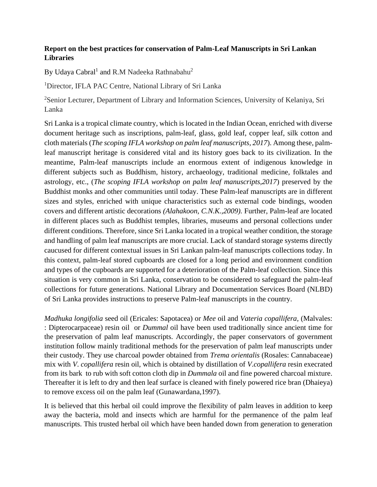## **Report on the best practices for conservation of Palm-Leaf Manuscripts in Sri Lankan Libraries**

By Udaya Cabral<sup>1</sup> and R.M Nadeeka Rathnabahu<sup>2</sup>

<sup>1</sup>Director, IFLA PAC Centre, National Library of Sri Lanka

<sup>2</sup>Senior Lecturer, Department of Library and Information Sciences, University of Kelaniya, Sri Lanka

Sri Lanka is a tropical climate country, which is located in the Indian Ocean, enriched with diverse document heritage such as inscriptions, palm-leaf, glass, gold leaf, copper leaf, silk cotton and cloth materials (*The scoping IFLA workshop on palm leaf manuscripts, 2017*). Among these, palmleaf manuscript heritage is considered vital and its history goes back to its civilization. In the meantime, Palm-leaf manuscripts include an enormous extent of indigenous knowledge in different subjects such as Buddhism, history, archaeology, traditional medicine, folktales and astrology, etc., (*The scoping IFLA workshop on palm leaf manuscripts,2017*) preserved by the Buddhist monks and other communities until today. These Palm-leaf manuscripts are in different sizes and styles, enriched with unique characteristics such as external code bindings, wooden covers and different artistic decorations *(Alahakoon, C.N.K.,2009).* Further, Palm-leaf are located in different places such as Buddhist temples, libraries, museums and personal collections under different conditions. Therefore, since Sri Lanka located in a tropical weather condition, the storage and handling of palm leaf manuscripts are more crucial. Lack of standard storage systems directly caucused for different contextual issues in Sri Lankan palm-leaf manuscripts collections today. In this context, palm-leaf stored cupboards are closed for a long period and environment condition and types of the cupboards are supported for a deterioration of the Palm-leaf collection. Since this situation is very common in Sri Lanka, conservation to be considered to safeguard the palm-leaf collections for future generations. National Library and Documentation Services Board (NLBD) of Sri Lanka provides instructions to preserve Palm-leaf manuscripts in the country.

*Madhuka longifolia* seed oil (Ericales: Sapotacea) or *Mee* oil and *Vateria copallifera,* (Malvales: : Dipterocarpaceae) resin oil or *Dummal* oil have been used traditionally since ancient time for the preservation of palm leaf manuscripts. Accordingly, the paper conservators of government institution follow mainly traditional methods for the preservation of palm leaf manuscripts under their custody. They use charcoal powder obtained from *Trema orientalis* (Rosales: Cannabaceae) mix with *V*. *copallifera* resin oil*,* which is obtained by distillation of *V*.*copallifera* resin execrated from its bark to rub with soft cotton cloth dip in *Dummala* oil and fine powered charcoal mixture. Thereafter it is left to dry and then leaf surface is cleaned with finely powered rice bran (Dhaieya) to remove excess oil on the palm leaf (Gunawardana,1997).

It is believed that this herbal oil could improve the flexibility of palm leaves in addition to keep away the bacteria, mold and insects which are harmful for the permanence of the palm leaf manuscripts. This trusted herbal oil which have been handed down from generation to generation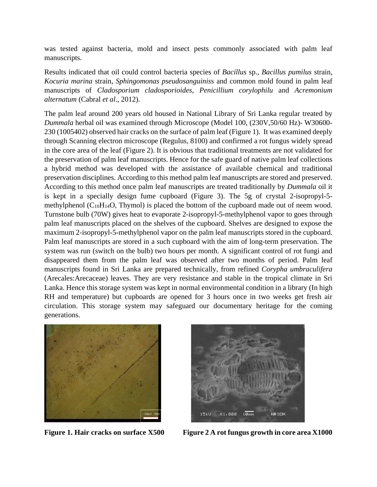was tested against bacteria, mold and insect pests commonly associated with palm leaf manuscripts.

Results indicated that oil could control bacteria species of *Bacillus* sp., *Bacillus pumilus* strain, *Kocuria marina* strain, *Sphingomonas pseudosanguinis*s and common mold found in palm leaf manuscripts of *Cladosporium cladosporioides*, *Penicillium corylophilu* and *Acremonium alternatum* (Cabral *et al*., 2012).

The palm leaf around 200 years old housed in National Library of Sri Lanka regular treated by *Dummala* herbal oil was examined through Microscope (Model 100, (230V,50/60 Hz)- W30600- 230 (1005402) observed hair cracks on the surface of palm leaf (Figure 1). It was examined deeply through Scanning electron microscope (Regulus, 8100) and confirmed a rot fungus widely spread in the core area of the leaf (Figure 2). It is obvious that traditional treatments are not validated for the preservation of palm leaf manuscripts. Hence for the safe guard of native palm leaf collections a hybrid method was developed with the assistance of available chemical and traditional preservation disciplines. According to this method palm leaf manuscripts are stored and preserved. According to this method once palm leaf manuscripts are treated traditionally by *Dummala* oil it is kept in a specially design fume cupboard (Figure 3). The 5g of crystal 2-isopropyl-5 methylphenol  $(C_{10}H_{14}O, Thymol)$  is placed the bottom of the cupboard made out of neem wood. Turnstone bulb (70W) gives heat to evaporate 2-isopropyl-5-methylphenol vapor to goes through palm leaf manuscripts placed on the shelves of the cupboard. Shelves are designed to expose the maximum 2-isopropyl-5-methylphenol vapor on the palm leaf manuscripts stored in the cupboard. Palm leaf manuscripts are stored in a such cupboard with the aim of long-term preservation. The system was run (switch on the bulb) two hours per month. A significant control of rot fungi and disappeared them from the palm leaf was observed after two months of period. Palm leaf manuscripts found in Sri Lanka are prepared technically, from refined *Corypha umbraculifera* (Arecales:Arecaceae) leaves. They are very resistance and stable in the tropical climate in Sri Lanka. Hence this storage system was kept in normal environmental condition in a library (In high RH and temperature) but cupboards are opened for 3 hours once in two weeks get fresh air circulation. This storage system may safeguard our documentary heritage for the coming generations.





Figure 1. Hair cracks on surface X500 Figure 2 A rot fungus growth in core area X1000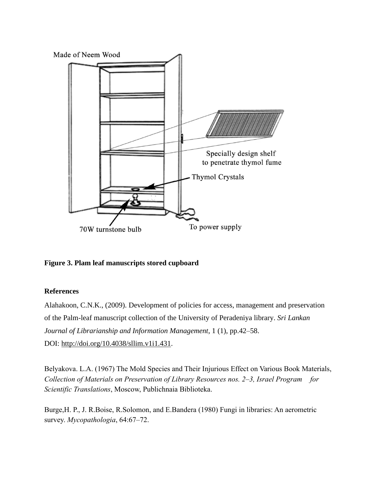

**Figure 3. Plam leaf manuscripts stored cupboard**

## **References**

Alahakoon, C.N.K., (2009). Development of policies for access, management and preservation of the Palm-leaf manuscript collection of the University of Peradeniya library. *Sri Lankan Journal of Librarianship and Information Management*, 1 (1), pp.42–58. DOI: [http://doi.org/10.4038/sllim.v1i1.431.](http://doi.org/10.4038/sllim.v1i1.431)

Belyakova. L.A. (1967) The Mold Species and Their Injurious Effect on Various Book Materials, *Collection of Materials on Preservation of Library Resources nos. 2–3, Israel Program for Scientific Translations*, Moscow, Publichnaia Biblioteka.

Burge,H. P., J. R.Boise, R.Solomon, and E.Bandera (1980) Fungi in libraries: An aerometric survey. *Mycopathologia*, 64:67–72.